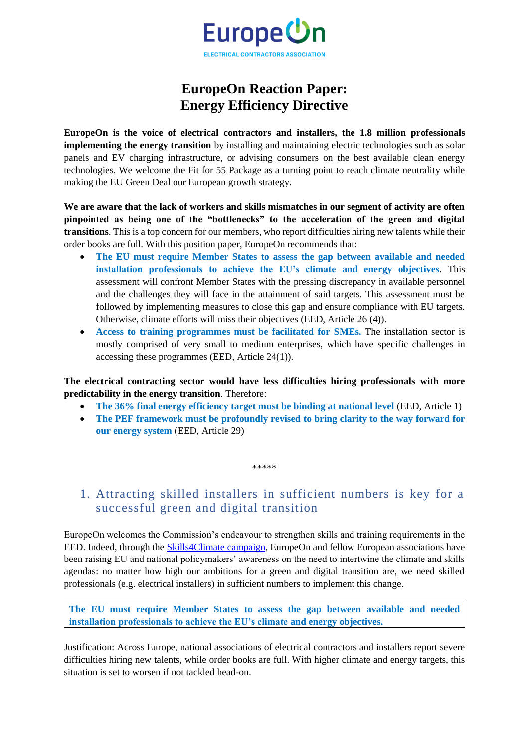

## **EuropeOn Reaction Paper: Energy Efficiency Directive**

**EuropeOn is the voice of electrical contractors and installers, the 1.8 million professionals implementing the energy transition** by installing and maintaining electric technologies such as solar panels and EV charging infrastructure, or advising consumers on the best available clean energy technologies. We welcome the Fit for 55 Package as a turning point to reach climate neutrality while making the EU Green Deal our European growth strategy.

**We are aware that the lack of workers and skills mismatches in our segment of activity are often pinpointed as being one of the "bottlenecks" to the acceleration of the green and digital transitions**. This is a top concern for our members, who report difficulties hiring new talents while their order books are full. With this position paper, EuropeOn recommends that:

- **The EU must require Member States to assess the gap between available and needed installation professionals to achieve the EU's climate and energy objectives**. This assessment will confront Member States with the pressing discrepancy in available personnel and the challenges they will face in the attainment of said targets. This assessment must be followed by implementing measures to close this gap and ensure compliance with EU targets. Otherwise, climate efforts will miss their objectives (EED, Article 26 (4)).
- **Access to training programmes must be facilitated for SMEs.** The installation sector is mostly comprised of very small to medium enterprises, which have specific challenges in accessing these programmes (EED, Article 24(1)).

**The electrical contracting sector would have less difficulties hiring professionals with more predictability in the energy transition**. Therefore:

- **The 36% final energy efficiency target must be binding at national level** (EED, Article 1)
- **The PEF framework must be profoundly revised to bring clarity to the way forward for our energy system** (EED, Article 29)

\*\*\*\*\*

## 1. Attracting skilled installers in sufficient numbers is key for a successful green and digital transition

EuropeOn welcomes the Commission's endeavour to strengthen skills and training requirements in the EED. Indeed, through the [Skills4Climate campaign,](https://europe-on.org/skills-4-climate/) EuropeOn and fellow European associations have been raising EU and national policymakers' awareness on the need to intertwine the climate and skills agendas: no matter how high our ambitions for a green and digital transition are, we need skilled professionals (e.g. electrical installers) in sufficient numbers to implement this change.

**The EU must require Member States to assess the gap between available and needed installation professionals to achieve the EU's climate and energy objectives.**

Justification: Across Europe, national associations of electrical contractors and installers report severe difficulties hiring new talents, while order books are full. With higher climate and energy targets, this situation is set to worsen if not tackled head-on.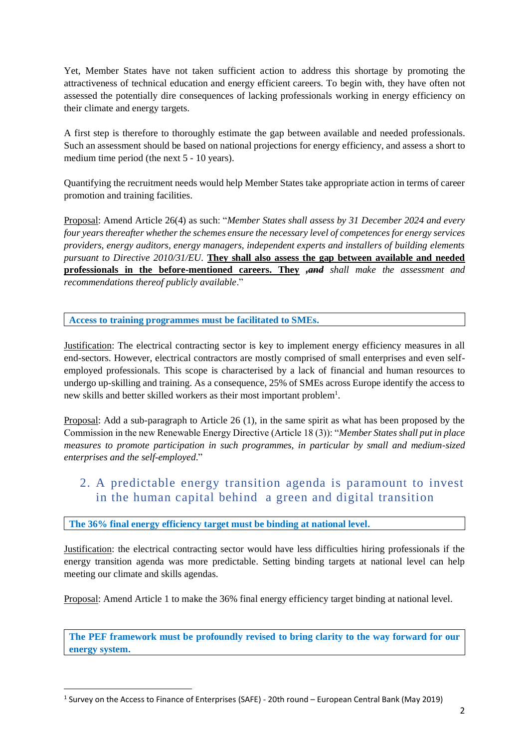Yet, Member States have not taken sufficient action to address this shortage by promoting the attractiveness of technical education and energy efficient careers. To begin with, they have often not assessed the potentially dire consequences of lacking professionals working in energy efficiency on their climate and energy targets.

A first step is therefore to thoroughly estimate the gap between available and needed professionals. Such an assessment should be based on national projections for energy efficiency, and assess a short to medium time period (the next 5 - 10 years).

Quantifying the recruitment needs would help Member States take appropriate action in terms of career promotion and training facilities.

Proposal: Amend Article 26(4) as such: "*Member States shall assess by 31 December 2024 and every four years thereafter whether the schemes ensure the necessary level of competences for energy services providers, energy auditors, energy managers, independent experts and installers of building elements pursuant to Directive 2010/31/EU.* **They shall also assess the gap between available and needed professionals in the before-mentioned careers. They** *,and shall make the assessment and recommendations thereof publicly available*."

**Access to training programmes must be facilitated to SMEs.**

Justification: The electrical contracting sector is key to implement energy efficiency measures in all end-sectors. However, electrical contractors are mostly comprised of small enterprises and even selfemployed professionals. This scope is characterised by a lack of financial and human resources to undergo up-skilling and training. As a consequence, 25% of SMEs across Europe identify the access to new skills and better skilled workers as their most important problem<sup>1</sup>.

Proposal: Add a sub-paragraph to Article 26 (1), in the same spirit as what has been proposed by the Commission in the new Renewable Energy Directive (Article 18 (3)): "*Member States shall put in place measures to promote participation in such programmes, in particular by small and medium-sized enterprises and the self-employed*."

## 2. A predictable energy transition agenda is paramount to invest in the human capital behind a green and digital transition

## **The 36% final energy efficiency target must be binding at national level.**

Justification: the electrical contracting sector would have less difficulties hiring professionals if the energy transition agenda was more predictable. Setting binding targets at national level can help meeting our climate and skills agendas.

Proposal: Amend Article 1 to make the 36% final energy efficiency target binding at national level.

**The PEF framework must be profoundly revised to bring clarity to the way forward for our energy system.**

<sup>1</sup> Survey on the Access to Finance of Enterprises (SAFE) - 20th round – European Central Bank (May 2019)